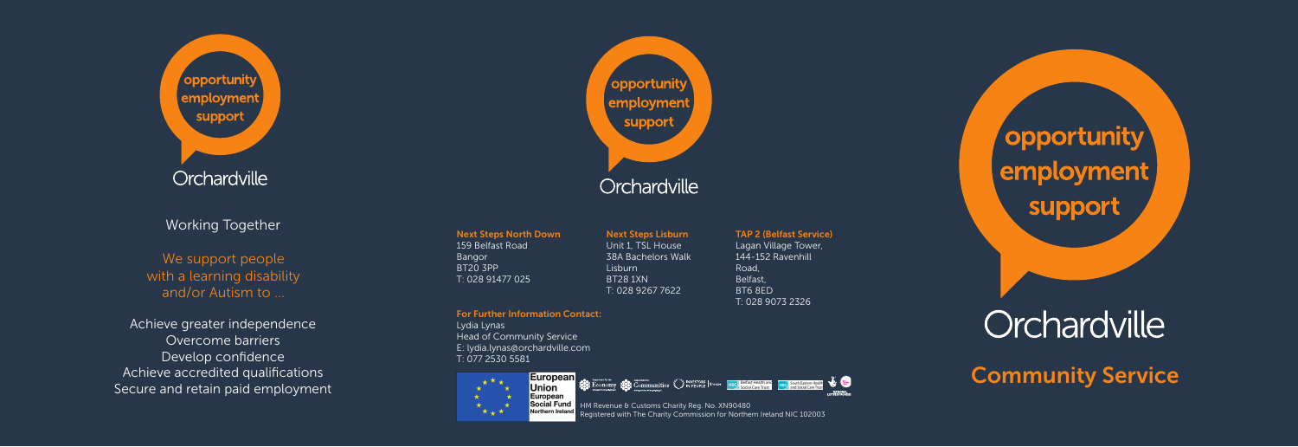Orchardville

opportunity

employment

support

Working Together

We support people with a learning disability and/or Autism to ...

Achieve greater independence Overcome barriers Develop confidence Achieve accredited qualifications Secure and retain paid employment

' opportunity employment support Orchardville

Next Steps North Down 159 Belfast Road Bangor BT20 3PP T: 028 91477 025

Next Steps Lisburn Unit 1, TSL House 38A Bachelors Walk Lisburn BT28 1XN T: 028 9267 7622

HM Revenue & Customs Charity Reg. No. XN90480

Registered with The Charity Commission for Northern Ireland NIC 102003

**SEE ECONOMY SEE COmmunities CENESCORE BOOMS ESCAL FRAME RESOLUTION RESOLUTION & CONSTRUCTION** 

For Further Information Contact: Lydia Lynas Head of Community Service E: lydia.lynas@orchardville.com T: 077 2530 5581

**European**  $+$  \*  $+$ **Union** ⊬் European  $\rightarrow$ Social Fund  $\star$   $\star$ 

Road, Belfast, BT6 8ED

TAP 2 (Belfast Service) Lagan Village Tower, 144-152 Ravenhill T: 028 9073 2326

NATIONAL

## 'opportunity` employment support